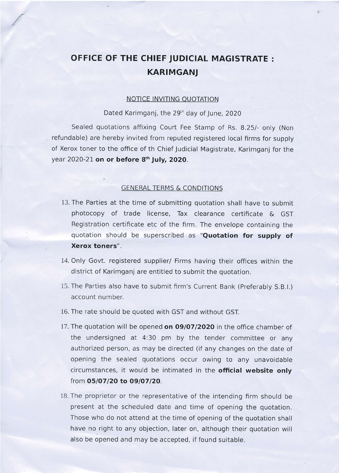## OFFICE OF THE CHIEF JUDICIAL MAGISTRATE : KARIMGANJ

## NOTICE INVITING OUOTATION

Dated Karimganj, the 29<sup>th</sup> day of June, 2020

Sealed quotations affixing Court Fee Stamp of Rs. 8.25/- only (Non refundable) are hereby invited from reputed registered local firms for supply of Xerox toner to the office of th Chief Judicial Magistrate, Karimganj for the year 2020-21 on or before 8<sup>th</sup> July, 2020.

## **GENERAL TERMS & CONDITIONS**

- 13. The Parties at the time of submitting quotation shall have to submit photocopy of trade license, Tax clearance certificate & GST Registration certificate etc of the frrm. The envelope containing the quotation should be superscribed as "Quotation for supply of Xerox toners".
- 14. Only Govt. registered supplier/ Firms having their offices within the district of Karimganj are entitled to submit the quotation.
- 15. The Parties also have to submit firm's Current Bank (Preferably S.B.l.) account number.
- 16. The rate should be quoted with GST and without GST.
- 17. The quotation will be opened on 09/07/2020 in the office chamber of the undersigned at 4:30 pm by the tender committee or any authorized person, as may be directed (if any changes on the date of opening the sealed quotations occur owing to any unavoidable circumstances, it would be intimated in the official website only from 05/07/20 to 09/07/20.
- 18. The proprietor or the representative of the intending firm should be present at the scheduled date and time of opening the quotation. Those who do not attend at the time of opening of the quotation shall have no right to any objection, Iater on, although their quotation will also be opened and may be accepted, if found suitable.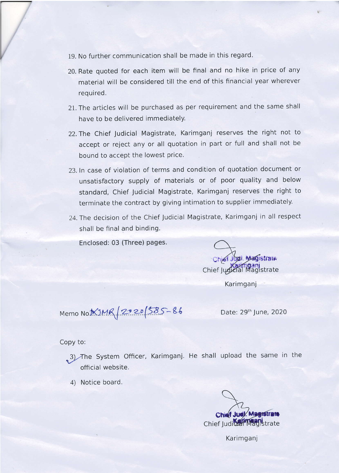- 19. No further communication shall be made in this regard.
- 20. Rate quoted for each item will be final and no hike in price of any material will be considered till the end of this financial year wherever required.
- 21. The articles will be purchased as per requirement and the same shall have to be delivered immediately.
- 22. The Chief Judicial Magistrate, Karimgani reserves the right not to accept or reject any or all quotation in part or full and shall not be bound to accept the lowest price.
- 23. ln case of violation of terms and condition of quotation document or unsatisfactory supply of materials or of poor quality and below standard, Chief Judicial Magistrate, Karimganj reserves the right to terminate the contract by giving intimation to supplier immediately.
- 24. The decision of the Chief Judicial Magistrate, Karimganj in all respect shall be final and binding.

Enclosed: 03 (Three) pages.

Chief Judicial Magistrate Chief Jual Magistrate

**Karimganj** 

 $Memo~No$  $N$  $100$  $R/2020$  $585-86$ 

Date: 29<sup>th</sup> June, 2020

## Copy to:

- 3) The System Officer, Karimganj. He shall upload the same in the official website.
- 4) Notice board.

Chief Judy Magistrate Chief Judical Magistrate

Karimganj